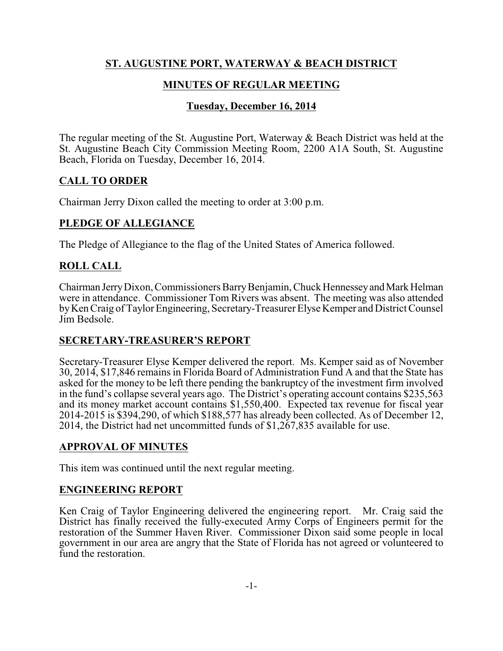# **ST. AUGUSTINE PORT, WATERWAY & BEACH DISTRICT**

# **MINUTES OF REGULAR MEETING**

# **Tuesday, December 16, 2014**

The regular meeting of the St. Augustine Port, Waterway & Beach District was held at the St. Augustine Beach City Commission Meeting Room, 2200 A1A South, St. Augustine Beach, Florida on Tuesday, December 16, 2014.

## **CALL TO ORDER**

Chairman Jerry Dixon called the meeting to order at 3:00 p.m.

## **PLEDGE OF ALLEGIANCE**

The Pledge of Allegiance to the flag of the United States of America followed.

#### **ROLL CALL**

Chairman JerryDixon, Commissioners BarryBenjamin, Chuck HennesseyandMarkHelman were in attendance. Commissioner Tom Rivers was absent. The meeting was also attended byKen Craig of Taylor Engineering, Secretary-Treasurer Elyse Kemper and District Counsel Jim Bedsole.

## **SECRETARY-TREASURER'S REPORT**

Secretary-Treasurer Elyse Kemper delivered the report. Ms. Kemper said as of November 30, 2014, \$17,846 remains in Florida Board of Administration Fund A and that the State has asked for the money to be left there pending the bankruptcy of the investment firm involved in the fund's collapse several years ago. The District's operating account contains \$235,563 and its money market account contains \$1,550,400. Expected tax revenue for fiscal year 2014-2015 is \$394,290, of which \$188,577 has already been collected. As of December 12, 2014, the District had net uncommitted funds of \$1,267,835 available for use.

#### **APPROVAL OF MINUTES**

This item was continued until the next regular meeting.

#### **ENGINEERING REPORT**

Ken Craig of Taylor Engineering delivered the engineering report. Mr. Craig said the District has finally received the fully-executed Army Corps of Engineers permit for the restoration of the Summer Haven River. Commissioner Dixon said some people in local government in our area are angry that the State of Florida has not agreed or volunteered to fund the restoration.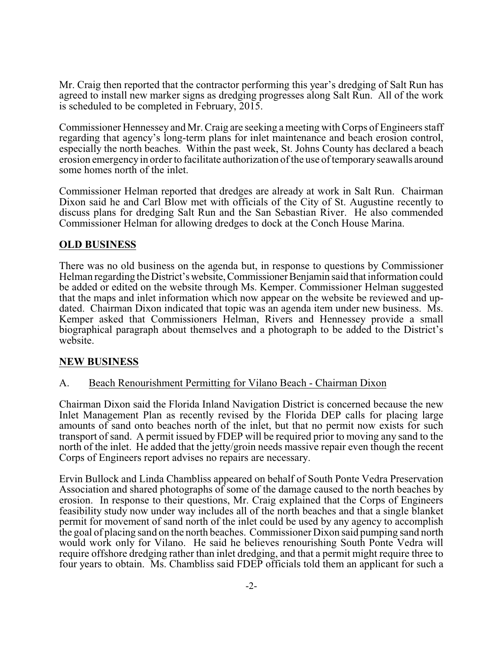Mr. Craig then reported that the contractor performing this year's dredging of Salt Run has agreed to install new marker signs as dredging progresses along Salt Run. All of the work is scheduled to be completed in February, 2015.

Commissioner Hennessey and Mr. Craig are seeking a meeting with Corps of Engineers staff regarding that agency's long-term plans for inlet maintenance and beach erosion control, especially the north beaches. Within the past week, St. Johns County has declared a beach erosion emergency in order to facilitate authorization of the use of temporary seawalls around some homes north of the inlet.

Commissioner Helman reported that dredges are already at work in Salt Run. Chairman Dixon said he and Carl Blow met with officials of the City of St. Augustine recently to discuss plans for dredging Salt Run and the San Sebastian River. He also commended Commissioner Helman for allowing dredges to dock at the Conch House Marina.

## **OLD BUSINESS**

There was no old business on the agenda but, in response to questions by Commissioner Helman regarding the District's website, Commissioner Benjamin said that information could be added or edited on the website through Ms. Kemper. Commissioner Helman suggested that the maps and inlet information which now appear on the website be reviewed and updated. Chairman Dixon indicated that topic was an agenda item under new business. Ms. Kemper asked that Commissioners Helman, Rivers and Hennessey provide a small biographical paragraph about themselves and a photograph to be added to the District's website.

## **NEW BUSINESS**

## A. Beach Renourishment Permitting for Vilano Beach - Chairman Dixon

Chairman Dixon said the Florida Inland Navigation District is concerned because the new Inlet Management Plan as recently revised by the Florida DEP calls for placing large amounts of sand onto beaches north of the inlet, but that no permit now exists for such transport of sand. A permit issued by FDEP will be required prior to moving any sand to the north of the inlet. He added that the jetty/groin needs massive repair even though the recent Corps of Engineers report advises no repairs are necessary.

Ervin Bullock and Linda Chambliss appeared on behalf of South Ponte Vedra Preservation Association and shared photographs of some of the damage caused to the north beaches by erosion. In response to their questions, Mr. Craig explained that the Corps of Engineers feasibility study now under way includes all of the north beaches and that a single blanket permit for movement of sand north of the inlet could be used by any agency to accomplish the goal of placing sand on the north beaches. Commissioner Dixon said pumping sand north would work only for Vilano. He said he believes renourishing South Ponte Vedra will require offshore dredging rather than inlet dredging, and that a permit might require three to four years to obtain. Ms. Chambliss said FDEP officials told them an applicant for such a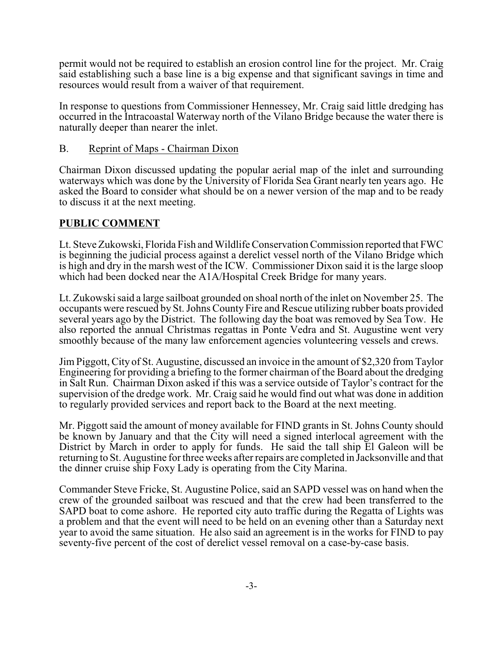permit would not be required to establish an erosion control line for the project. Mr. Craig said establishing such a base line is a big expense and that significant savings in time and resources would result from a waiver of that requirement.

In response to questions from Commissioner Hennessey, Mr. Craig said little dredging has occurred in the Intracoastal Waterway north of the Vilano Bridge because the water there is naturally deeper than nearer the inlet.

#### B. Reprint of Maps - Chairman Dixon

Chairman Dixon discussed updating the popular aerial map of the inlet and surrounding waterways which was done by the University of Florida Sea Grant nearly ten years ago. He asked the Board to consider what should be on a newer version of the map and to be ready to discuss it at the next meeting.

#### **PUBLIC COMMENT**

Lt. Steve Zukowski, Florida Fish and Wildlife Conservation Commission reported that FWC is beginning the judicial process against a derelict vessel north of the Vilano Bridge which is high and dry in the marsh west of the ICW. Commissioner Dixon said it is the large sloop which had been docked near the A1A/Hospital Creek Bridge for many years.

Lt. Zukowski said a large sailboat grounded on shoal north of the inlet on November 25. The occupants were rescued by St. Johns County Fire and Rescue utilizing rubber boats provided several years ago by the District. The following day the boat was removed by Sea Tow. He also reported the annual Christmas regattas in Ponte Vedra and St. Augustine went very smoothly because of the many law enforcement agencies volunteering vessels and crews.

Jim Piggott, City of St. Augustine, discussed an invoice in the amount of \$2,320 from Taylor Engineering for providing a briefing to the former chairman of the Board about the dredging in Salt Run. Chairman Dixon asked if this was a service outside of Taylor's contract for the supervision of the dredge work. Mr. Craig said he would find out what was done in addition to regularly provided services and report back to the Board at the next meeting.

Mr. Piggott said the amount of money available for FIND grants in St. Johns County should be known by January and that the City will need a signed interlocal agreement with the District by March in order to apply for funds. He said the tall ship El Galeon will be returning to St. Augustine for three weeks after repairs are completed in Jacksonville and that the dinner cruise ship Foxy Lady is operating from the City Marina.

Commander Steve Fricke, St. Augustine Police, said an SAPD vessel was on hand when the crew of the grounded sailboat was rescued and that the crew had been transferred to the SAPD boat to come ashore. He reported city auto traffic during the Regatta of Lights was a problem and that the event will need to be held on an evening other than a Saturday next year to avoid the same situation. He also said an agreement is in the works for FIND to pay seventy-five percent of the cost of derelict vessel removal on a case-by-case basis.